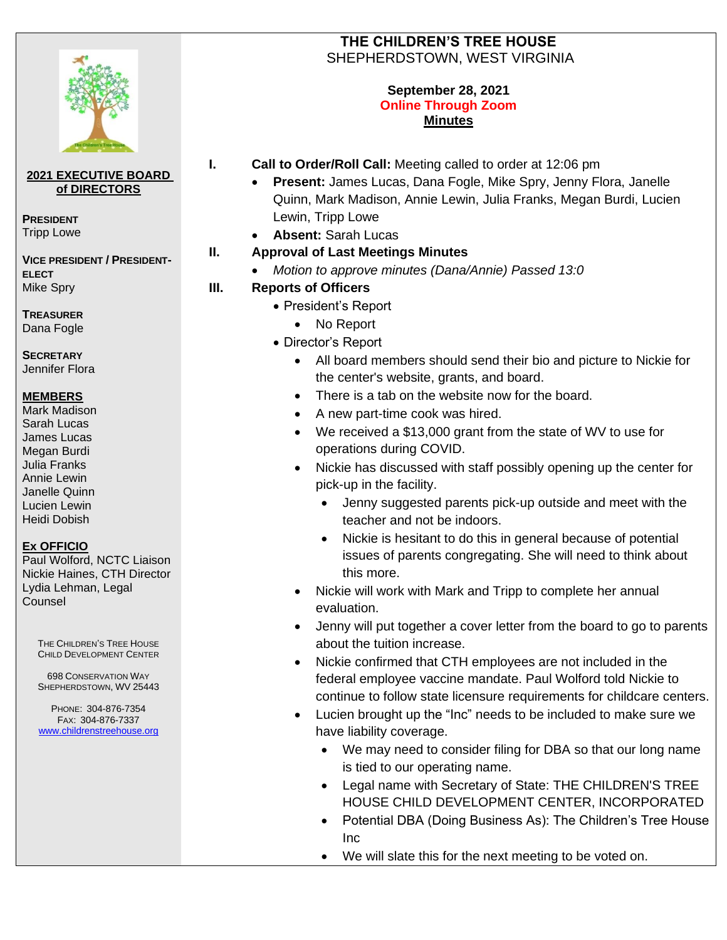

# **2021 EXECUTIVE BOARD of DIRECTORS**

**PRESIDENT** Tripp Lowe

**VICE PRESIDENT / PRESIDENT-ELECT** Mike Spry

**TREASURER** Dana Fogle

**SECRETARY** Jennifer Flora

### **MEMBERS**

Mark Madison Sarah Lucas James Lucas Megan Burdi Julia Franks Annie Lewin Janelle Quinn Lucien Lewin Heidi Dobish

#### **Ex OFFICIO**

Paul Wolford, NCTC Liaison Nickie Haines, CTH Director Lydia Lehman, Legal Counsel

THE CHILDREN'S TREE HOUSE CHILD DEVELOPMENT CENTER

698 CONSERVATION WAY SHEPHERDSTOWN, WV 25443

PHONE: 304-876-7354 FAX: 304-876-7337 [www.childrenstreehouse.org](http://www.childrenstreehouse.org/)

## **THE CHILDREN'S TREE HOUSE**  SHEPHERDSTOWN, WEST VIRGINIA

#### **September 28, 2021 Online Through Zoom Minutes**

- **I. Call to Order/Roll Call:** Meeting called to order at 12:06 pm
	- **Present:** James Lucas, Dana Fogle, Mike Spry, Jenny Flora, Janelle Quinn, Mark Madison, Annie Lewin, Julia Franks, Megan Burdi, Lucien Lewin, Tripp Lowe
	- **Absent:** Sarah Lucas

## **II. Approval of Last Meetings Minutes**

• *Motion to approve minutes (Dana/Annie) Passed 13:0*

## **III. Reports of Officers**

- President's Report
	- No Report
- Director's Report
	- All board members should send their bio and picture to Nickie for the center's website, grants, and board.
	- There is a tab on the website now for the board.
	- A new part-time cook was hired.
	- We received a \$13,000 grant from the state of WV to use for operations during COVID.
	- Nickie has discussed with staff possibly opening up the center for pick-up in the facility.
		- Jenny suggested parents pick-up outside and meet with the teacher and not be indoors.
		- Nickie is hesitant to do this in general because of potential issues of parents congregating. She will need to think about this more.
	- Nickie will work with Mark and Tripp to complete her annual evaluation.
	- Jenny will put together a cover letter from the board to go to parents about the tuition increase.
	- Nickie confirmed that CTH employees are not included in the federal employee vaccine mandate. Paul Wolford told Nickie to continue to follow state licensure requirements for childcare centers.
	- Lucien brought up the "Inc" needs to be included to make sure we have liability coverage.
		- We may need to consider filing for DBA so that our long name is tied to our operating name.
		- Legal name with Secretary of State: THE CHILDREN'S TREE HOUSE CHILD DEVELOPMENT CENTER, INCORPORATED
		- Potential DBA (Doing Business As): The Children's Tree House Inc
		- We will slate this for the next meeting to be voted on.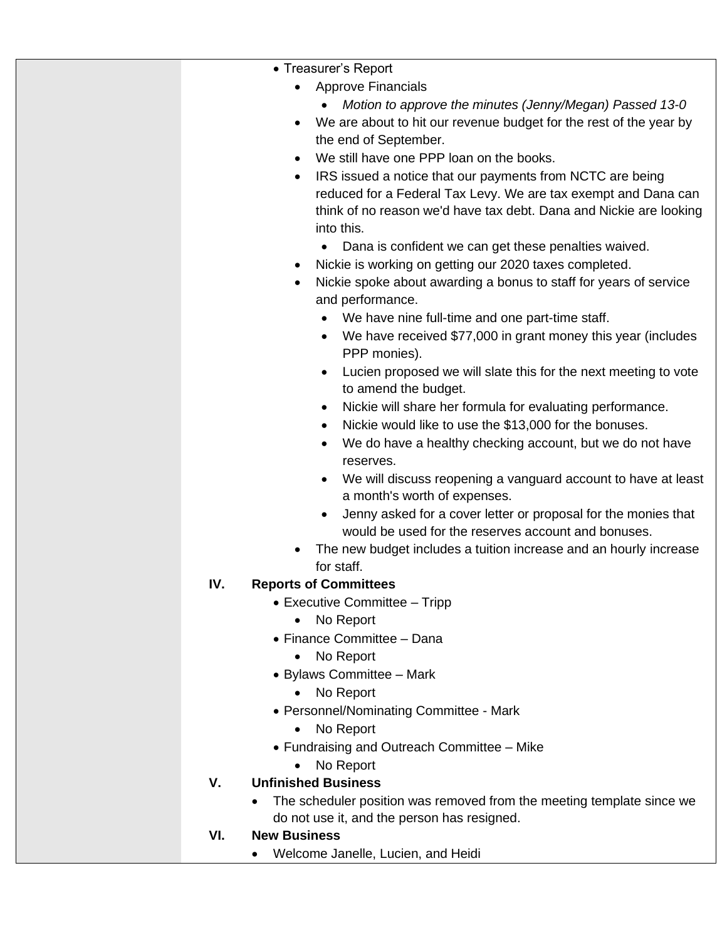- Treasurer's Report
	- Approve Financials
		- *Motion to approve the minutes (Jenny/Megan) Passed 13-0*
	- We are about to hit our revenue budget for the rest of the year by the end of September.
	- We still have one PPP loan on the books.
	- IRS issued a notice that our payments from NCTC are being reduced for a Federal Tax Levy. We are tax exempt and Dana can think of no reason we'd have tax debt. Dana and Nickie are looking into this.
		- Dana is confident we can get these penalties waived.
	- Nickie is working on getting our 2020 taxes completed.
	- Nickie spoke about awarding a bonus to staff for years of service and performance.
		- We have nine full-time and one part-time staff.
		- We have received \$77,000 in grant money this year (includes PPP monies).
		- Lucien proposed we will slate this for the next meeting to vote to amend the budget.
		- Nickie will share her formula for evaluating performance.
		- Nickie would like to use the \$13,000 for the bonuses.
		- We do have a healthy checking account, but we do not have reserves.
		- We will discuss reopening a vanguard account to have at least a month's worth of expenses.
		- Jenny asked for a cover letter or proposal for the monies that would be used for the reserves account and bonuses.
	- The new budget includes a tuition increase and an hourly increase for staff.

#### **IV. Reports of Committees**

- Executive Committee Tripp
	- No Report
- Finance Committee Dana
	- No Report
- Bylaws Committee Mark
	- No Report
- Personnel/Nominating Committee Mark
	- No Report
- Fundraising and Outreach Committee Mike
	- No Report

#### **V. Unfinished Business**

- The scheduler position was removed from the meeting template since we do not use it, and the person has resigned.
- **VI. New Business**
	- Welcome Janelle, Lucien, and Heidi